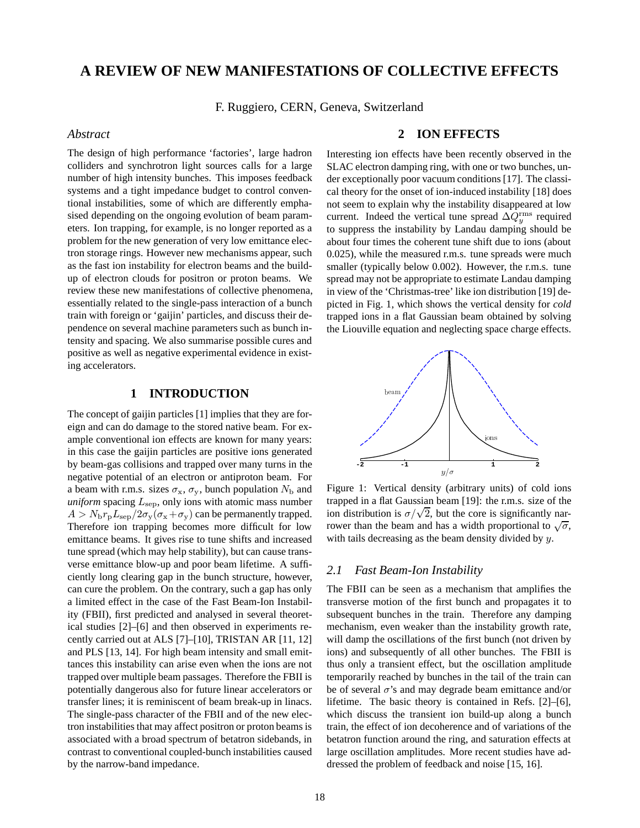# **A REVIEW OF NEW MANIFESTATIONS OF COLLECTIVE EFFECTS**

F. Ruggiero, CERN, Geneva, Switzerland

## *Abstract*

The design of high performance 'factories', large hadron colliders and synchrotron light sources calls for a large number of high intensity bunches. This imposes feedback systems and a tight impedance budget to control conventional instabilities, some of which are differently emphasised depending on the ongoing evolution of beam parameters. Ion trapping, for example, is no longer reported as a problem for the new generation of very low emittance electron storage rings. However new mechanisms appear, such as the fast ion instability for electron beams and the buildup of electron clouds for positron or proton beams. We review these new manifestations of collective phenomena, essentially related to the single-pass interaction of a bunch train with foreign or 'gaijin' particles, and discuss their dependence on several machine parameters such as bunch intensity and spacing. We also summarise possible cures and positive as well as negative experimental evidence in existing accelerators.

## **1 INTRODUCTION**

The concept of gaijin particles [1] implies that they are foreign and can do damage to the stored native beam. For example conventional ion effects are known for many years: in this case the gaijin particles are positive ions generated by beam-gas collisions and trapped over many turns in the negative potential of an electron or antiproton beam. For a beam with r.m.s. sizes  $\sigma_x$ ,  $\sigma_y$ , bunch population  $N_b$  and *uniform* spacing  $L_{\text{sep}}$ , only ions with atomic mass number  $A > N_b r_p L_{\rm sep} / 2\sigma_{\rm v} (\sigma_{\rm x} + \sigma_{\rm v})$  can be permanently trapped. Therefore ion trapping becomes more difficult for low emittance beams. It gives rise to tune shifts and increased tune spread (which may help stability), but can cause transverse emittance blow-up and poor beam lifetime. A sufficiently long clearing gap in the bunch structure, however, can cure the problem. On the contrary, such a gap has only a limited effect in the case of the Fast Beam-Ion Instability (FBII), first predicted and analysed in several theoretical studies [2]–[6] and then observed in experiments recently carried out at ALS [7]–[10], TRISTAN AR [11, 12] and PLS [13, 14]. For high beam intensity and small emittances this instability can arise even when the ions are not trapped over multiple beam passages. Therefore the FBII is potentially dangerous also for future linear accelerators or transfer lines; it is reminiscent of beam break-up in linacs. The single-pass character of the FBII and of the new electron instabilities that may affect positron or proton beams is associated with a broad spectrum of betatron sidebands, in contrast to conventional coupled-bunch instabilities caused by the narrow-band impedance.

## **2 ION EFFECTS**

Interesting ion effects have been recently observed in the SLAC electron damping ring, with one or two bunches, under exceptionally poor vacuum conditions [17]. The classical theory for the onset of ion-induced instability [18] does not seem to explain why the instability disappeared at low current. Indeed the vertical tune spread  $\Delta Q_y^{\rm rms}$  required to suppress the instability by Landau damping should be about four times the coherent tune shift due to ions (about 0.025), while the measured r.m.s. tune spreads were much smaller (typically below 0.002). However, the r.m.s. tune spread may not be appropriate to estimate Landau damping in view of the 'Christmas-tree' like ion distribution [19] depicted in Fig. 1, which shows the vertical density for *cold* trapped ions in a flat Gaussian beam obtained by solving the Liouville equation and neglecting space charge effects.



Figure 1: Vertical density (arbitrary units) of cold ions trapped in a flat Gaussian beam [19]: the r.m.s. size of the trapped in a nat Gaussian beam [19]: the r.m.s. size of the<br>ion distribution is  $\sigma/\sqrt{2}$ , but the core is significantly narrower than the beam and has a width proportional to  $\sqrt{\sigma}$ , with tails decreasing as the beam density divided by y.

## *2.1 Fast Beam-Ion Instability*

The FBII can be seen as a mechanism that amplifies the transverse motion of the first bunch and propagates it to subsequent bunches in the train. Therefore any damping mechanism, even weaker than the instability growth rate, will damp the oscillations of the first bunch (not driven by ions) and subsequently of all other bunches. The FBII is thus only a transient effect, but the oscillation amplitude temporarily reached by bunches in the tail of the train can be of several  $\sigma$ 's and may degrade beam emittance and/or lifetime. The basic theory is contained in Refs. [2]–[6], which discuss the transient ion build-up along a bunch train, the effect of ion decoherence and of variations of the betatron function around the ring, and saturation effects at large oscillation amplitudes. More recent studies have addressed the problem of feedback and noise [15, 16].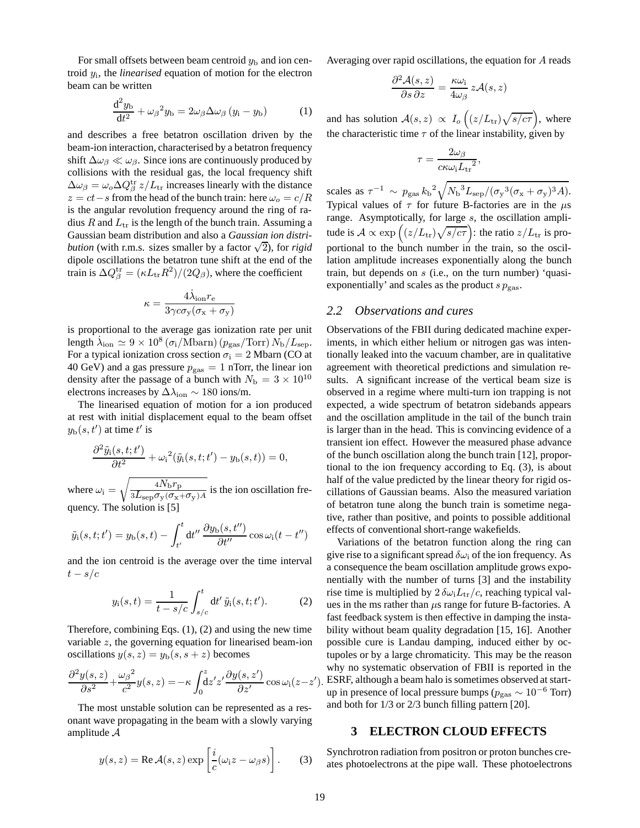For small offsets between beam centroid  $y<sub>b</sub>$  and ion centroid <sup>y</sup>i, the *linearised* equation of motion for the electron beam can be written

$$
\frac{d^2 y_b}{dt^2} + \omega_\beta^2 y_b = 2\omega_\beta \Delta \omega_\beta (y_i - y_b)
$$
 (1)

and describes a free betatron oscillation driven by the beam-ion interaction, characterised by a betatron frequency shift  $\Delta \omega_{\beta} \ll \omega_{\beta}$ . Since ions are continuously produced by collisions with the residual gas, the local frequency shift  $\Delta \omega_{\beta} = \omega_{o} \Delta Q_{\beta}^{\text{tr}} z / L_{\text{tr}}$  increases linearly with the distance  $z = ct - s$  from the head of the bunch train: here  $\omega_o = c/R$ is the angular revolution frequency around the ring of radius R and  $L_{tr}$  is the length of the bunch train. Assuming a Gaussian beam distribution and also a *Gaussian ion distribution* (with r.m.s. sizes smaller by a factor  $\sqrt{2}$ ), for *rigid* dipole oscillations the betatron tune shift at the end of the train is  $\Delta Q^{\text{tr}}_{\beta} = (\kappa L_{\text{tr}} R^2)/(2 Q_{\beta})$ , where the coefficient

$$
\kappa = \frac{4\dot{\lambda}_{\text{ion}}r_{\text{e}}}{3\gamma c\sigma_{\text{y}}(\sigma_{\text{x}} + \sigma_{\text{y}})}
$$

is proportional to the average gas ionization rate per unit length  $\dot{\lambda}_{\text{ion}} \simeq 9 \times 10^8 \left( \frac{\sigma_i}{\text{Mbarn}} \right) \left( \frac{p_{\text{gas}}}{\text{Torr}} \right) N_{\text{b}} / L_{\text{sep}}.$ For a typical ionization cross section  $\sigma_i = 2$  Mbarn (CO at 40 GeV) and a gas pressure  $p_{\text{gas}} = 1$  nTorr, the linear ion density after the passage of a bunch with  $N_{\rm b} = 3 \times 10^{10}$ electrons increases by  $\Delta\lambda_{\rm ion} \sim 180$  ions/m.

The linearised equation of motion for a ion produced at rest with initial displacement equal to the beam offset  $y_{\text{b}}(s, t')$  at time  $t'$  is

$$
\frac{\partial^2 \tilde{y}_i(s,t;t')}{\partial t^2} + \omega_i^2(\tilde{y}_i(s,t;t') - y_{\rm b}(s,t)) = 0,
$$

where  $\omega_i = \sqrt{\frac{4N_b r_p}{3L_s p \sigma_y (\sigma_x + \sigma_y)A}}$  is the ion oscillation frequency. The solution is [5]

$$
\tilde{y}_i(s,t;t') = y_b(s,t) - \int_{t'}^t dt'' \, \frac{\partial y_b(s,t'')}{\partial t''} \cos \omega_i(t-t'')
$$

and the ion centroid is the average over the time interval  $t - s/c$ 

$$
y_{i}(s,t) = \frac{1}{t - s/c} \int_{s/c}^{t} dt' \, \tilde{y}_{i}(s,t;t'). \tag{2}
$$

Therefore, combining Eqs. (1), (2) and using the new time variable z, the governing equation for linearised beam-ion oscillations  $y(s, z) = y<sub>b</sub>(s, s + z)$  becomes

$$
\frac{\partial^2 y(s,z)}{\partial s^2} + \frac{\omega_\beta^2}{c^2} y(s,z) = -\kappa \int_0^z \frac{dz'}{z'} \frac{\partial y(s,z')}{\partial z'} \cos \omega_i(z-z').
$$

The most unstable solution can be represented as a resonant wave propagating in the beam with a slowly varying amplitude A

$$
y(s, z) = \text{Re}\,\mathcal{A}(s, z) \exp\left[\frac{i}{c}(\omega_1 z - \omega_\beta s)\right].\tag{3}
$$

Averaging over rapid oscillations, the equation for A reads

$$
\frac{\partial^2 \mathcal{A}(s,z)}{\partial s \, \partial z} = \frac{\kappa \omega_i}{4\omega_\beta} \, z\mathcal{A}(s,z)
$$

and has solution  $A(s, z) \propto I_o\left((z/L_{\text{tr}})\sqrt{s/c\tau}\right)$ , where the characteristic time  $\tau$  of the linear instability, given by

$$
\tau = \frac{2\omega_{\beta}}{c\kappa\omega_{\rm i}{L_{\rm tr}}^2},
$$

scales as  $\tau^{-1} \sim p_{\text{gas}} k_{\text{b}}^2 \sqrt{N_{\text{b}}^3 L_{\text{sep}} / (\sigma_{\text{y}}^3 (\sigma_{\text{x}} + \sigma_{\text{y}})^3 A)}$ . Typical values of  $\tau$  for future B-factories are in the  $\mu$ s range. Asymptotically, for large s, the oscillation amplitude is  $A \propto \exp\left( \frac{z}{L_{\rm tr}} \sqrt{\frac{s}{c\tau}} \right)$ : the ratio  $z/L_{\rm tr}$  is proportional to the bunch number in the train, so the oscillation amplitude increases exponentially along the bunch train, but depends on s (i.e., on the turn number) 'quasiexponentially' and scales as the product  $s p_{\text{gas}}$ .

#### *2.2 Observations and cures*

Observations of the FBII during dedicated machine experiments, in which either helium or nitrogen gas was intentionally leaked into the vacuum chamber, are in qualitative agreement with theoretical predictions and simulation results. A significant increase of the vertical beam size is observed in a regime where multi-turn ion trapping is not expected, a wide spectrum of betatron sidebands appears and the oscillation amplitude in the tail of the bunch train is larger than in the head. This is convincing evidence of a transient ion effect. However the measured phase advance of the bunch oscillation along the bunch train [12], proportional to the ion frequency according to Eq. (3), is about half of the value predicted by the linear theory for rigid oscillations of Gaussian beams. Also the measured variation of betatron tune along the bunch train is sometime negative, rather than positive, and points to possible additional effects of conventional short-range wakefields.

Variations of the betatron function along the ring can give rise to a significant spread  $\delta\omega_i$  of the ion frequency. As a consequence the beam oscillation amplitude grows exponentially with the number of turns [3] and the instability rise time is multiplied by  $2 \delta \omega_i L_{tr}/c$ , reaching typical values in the ms rather than  $\mu$ s range for future B-factories. A fast feedback system is then effective in damping the instability without beam quality degradation [15, 16]. Another possible cure is Landau damping, induced either by octupoles or by a large chromaticity. This may be the reason why no systematic observation of FBII is reported in the ESRF, although a beam halo is sometimes observed at startup in presence of local pressure bumps ( $p_{\rm gas} \sim 10^{-6}$  Torr) and both for 1/3 or 2/3 bunch filling pattern [20].

### **3 ELECTRON CLOUD EFFECTS**

Synchrotron radiation from positron or proton bunches creates photoelectrons at the pipe wall. These photoelectrons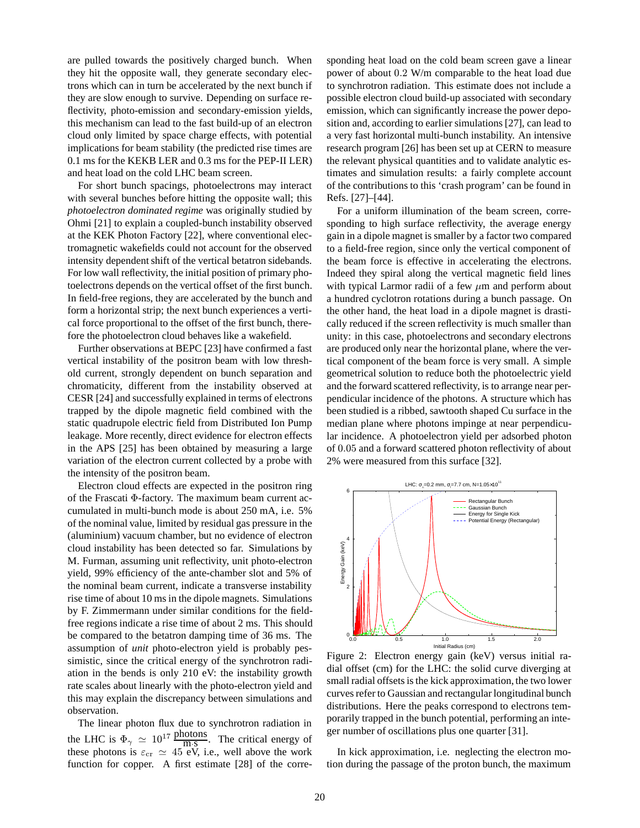are pulled towards the positively charged bunch. When they hit the opposite wall, they generate secondary electrons which can in turn be accelerated by the next bunch if they are slow enough to survive. Depending on surface reflectivity, photo-emission and secondary-emission yields, this mechanism can lead to the fast build-up of an electron cloud only limited by space charge effects, with potential implications for beam stability (the predicted rise times are 0.1 ms for the KEKB LER and 0.3 ms for the PEP-II LER) and heat load on the cold LHC beam screen.

For short bunch spacings, photoelectrons may interact with several bunches before hitting the opposite wall; this *photoelectron dominated regime* was originally studied by Ohmi [21] to explain a coupled-bunch instability observed at the KEK Photon Factory [22], where conventional electromagnetic wakefields could not account for the observed intensity dependent shift of the vertical betatron sidebands. For low wall reflectivity, the initial position of primary photoelectrons depends on the vertical offset of the first bunch. In field-free regions, they are accelerated by the bunch and form a horizontal strip; the next bunch experiences a vertical force proportional to the offset of the first bunch, therefore the photoelectron cloud behaves like a wakefield.

Further observations at BEPC [23] have confirmed a fast vertical instability of the positron beam with low threshold current, strongly dependent on bunch separation and chromaticity, different from the instability observed at CESR [24] and successfully explained in terms of electrons trapped by the dipole magnetic field combined with the static quadrupole electric field from Distributed Ion Pump leakage. More recently, direct evidence for electron effects in the APS [25] has been obtained by measuring a large variation of the electron current collected by a probe with the intensity of the positron beam.

Electron cloud effects are expected in the positron ring of the Frascati Φ-factory. The maximum beam current accumulated in multi-bunch mode is about 250 mA, i.e. 5% of the nominal value, limited by residual gas pressure in the (aluminium) vacuum chamber, but no evidence of electron cloud instability has been detected so far. Simulations by M. Furman, assuming unit reflectivity, unit photo-electron yield, 99% efficiency of the ante-chamber slot and 5% of the nominal beam current, indicate a transverse instability rise time of about 10 ms in the dipole magnets. Simulations by F. Zimmermann under similar conditions for the fieldfree regions indicate a rise time of about 2 ms. This should be compared to the betatron damping time of 36 ms. The assumption of *unit* photo-electron yield is probably pessimistic, since the critical energy of the synchrotron radiation in the bends is only 210 eV: the instability growth rate scales about linearly with the photo-electron yield and this may explain the discrepancy between simulations and observation.

The linear photon flux due to synchrotron radiation in the LHC is  $\Phi_{\gamma} \simeq 10^{17} \frac{\text{photons}}{\text{m} \cdot \text{s}}$ . The critical energy of these photons is  $\varepsilon_{cr} \simeq 45$  eV, i.e., well above the work<br>function for comparing functionate [28] of the comparing function for copper. A first estimate [28] of the corresponding heat load on the cold beam screen gave a linear power of about 0.2 W/m comparable to the heat load due to synchrotron radiation. This estimate does not include a possible electron cloud build-up associated with secondary emission, which can significantly increase the power deposition and, according to earlier simulations [27], can lead to a very fast horizontal multi-bunch instability. An intensive research program [26] has been set up at CERN to measure the relevant physical quantities and to validate analytic estimates and simulation results: a fairly complete account of the contributions to this 'crash program' can be found in Refs. [27]–[44].

For a uniform illumination of the beam screen, corresponding to high surface reflectivity, the average energy gain in a dipole magnet is smaller by a factor two compared to a field-free region, since only the vertical component of the beam force is effective in accelerating the electrons. Indeed they spiral along the vertical magnetic field lines with typical Larmor radii of a few  $\mu$ m and perform about a hundred cyclotron rotations during a bunch passage. On the other hand, the heat load in a dipole magnet is drastically reduced if the screen reflectivity is much smaller than unity: in this case, photoelectrons and secondary electrons are produced only near the horizontal plane, where the vertical component of the beam force is very small. A simple geometrical solution to reduce both the photoelectric yield and the forward scattered reflectivity, is to arrange near perpendicular incidence of the photons. A structure which has been studied is a ribbed, sawtooth shaped Cu surface in the median plane where photons impinge at near perpendicular incidence. A photoelectron yield per adsorbed photon of 0.05 and a forward scattered photon reflectivity of about 2% were measured from this surface [32].



Figure 2: Electron energy gain (keV) versus initial radial offset (cm) for the LHC: the solid curve diverging at small radial offsets is the kick approximation, the two lower curves refer to Gaussian and rectangular longitudinal bunch distributions. Here the peaks correspond to electrons temporarily trapped in the bunch potential, performing an integer number of oscillations plus one quarter [31].

In kick approximation, i.e. neglecting the electron motion during the passage of the proton bunch, the maximum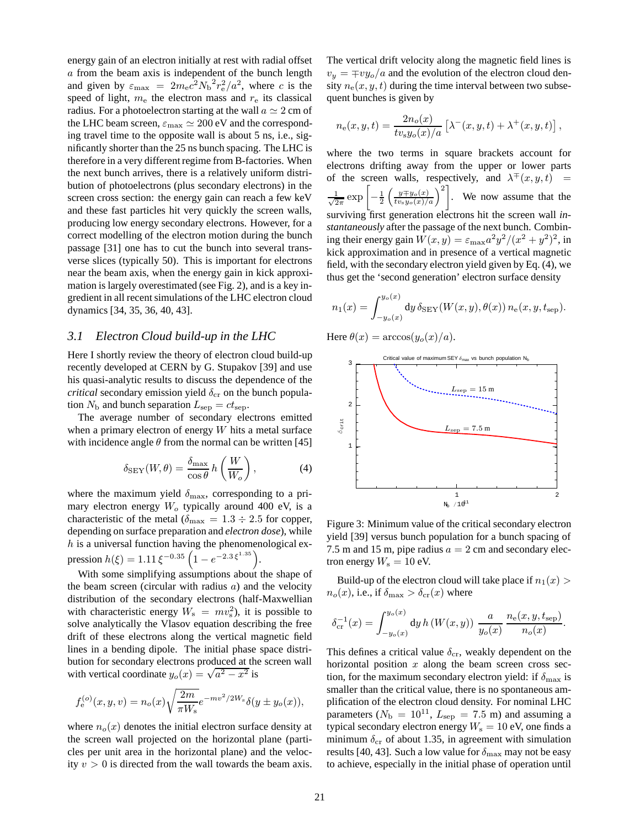energy gain of an electron initially at rest with radial offset a from the beam axis is independent of the bunch length and given by  $\varepsilon_{\text{max}} = 2m_e c^2 N_b^2 r_e^2 / a^2$ , where c is the speed of light m, the electron mess and r, its classical speed of light,  $m_e$  the electron mass and  $r_e$  its classical radius. For a photoelectron starting at the wall  $a \simeq 2$  cm of the LHC beam screen,  $\varepsilon_{\text{max}} \simeq 200 \text{ eV}$  and the corresponding travel time to the opposite wall is about 5 ns, i.e., significantly shorter than the 25 ns bunch spacing. The LHC is therefore in a very different regime from B-factories. When the next bunch arrives, there is a relatively uniform distribution of photoelectrons (plus secondary electrons) in the screen cross section: the energy gain can reach a few keV and these fast particles hit very quickly the screen walls, producing low energy secondary electrons. However, for a correct modelling of the electron motion during the bunch passage [31] one has to cut the bunch into several transverse slices (typically 50). This is important for electrons near the beam axis, when the energy gain in kick approximation is largely overestimated (see Fig. 2), and is a key ingredient in all recent simulations of the LHC electron cloud dynamics [34, 35, 36, 40, 43].

### *3.1 Electron Cloud build-up in the LHC*

Here I shortly review the theory of electron cloud build-up recently developed at CERN by G. Stupakov [39] and use his quasi-analytic results to discuss the dependence of the *critical* secondary emission yield  $\delta_{cr}$  on the bunch population  $N_{\rm b}$  and bunch separation  $L_{\rm sep} = ct_{\rm sep}$ .

The average number of secondary electrons emitted when a primary electron of energy  $W$  hits a metal surface with incidence angle  $\theta$  from the normal can be written [45]

$$
\delta_{\text{SEY}}(W,\theta) = \frac{\delta_{\text{max}}}{\cos\theta} h\left(\frac{W}{W_o}\right),\tag{4}
$$

where the maximum yield  $\delta_{\text{max}}$ , corresponding to a primary electron energy  $W<sub>o</sub>$  typically around 400 eV, is a characteristic of the metal ( $\delta_{\text{max}} = 1.3 \div 2.5$  for copper, depending on surface preparation and *electron dose*), while  $h$  is a universal function having the phenomenological expression  $h(\xi) = 1.11 \xi^{-0.35} \left( 1 - e^{-2.3 \xi^{1.35}} \right)$ .

With some simplifying assumptions about the shape of the beam screen (circular with radius  $a$ ) and the velocity distribution of the secondary electrons (half-Maxwellian with characteristic energy  $W_s = mv_s^2$ ), it is possible to solve analytically the Vlasov equation describing the free solve analytically the Vlasov equation describing the free drift of these electrons along the vertical magnetic field lines in a bending dipole. The initial phase space distribution for secondary electrons produced at the screen wall bution for secondary electrons produced at the with vertical coordinate  $y_o(x) = \sqrt{a^2 - x^2}$  is

$$
f_{e}^{(o)}(x, y, v) = n_o(x) \sqrt{\frac{2m}{\pi W_s}} e^{-mv^2/2W_s} \delta(y \pm y_o(x)),
$$

where  $n_o(x)$  denotes the initial electron surface density at the screen wall projected on the horizontal plane (particles per unit area in the horizontal plane) and the velocity  $v > 0$  is directed from the wall towards the beam axis. The vertical drift velocity along the magnetic field lines is  $v_y = \mp v y_o/a$  and the evolution of the electron cloud density  $n_e(x, y, t)$  during the time interval between two subsequent bunches is given by

$$
n_{e}(x, y, t) = \frac{2n_{o}(x)}{tv_{s}y_{o}(x)/a} [\lambda^{-}(x, y, t) + \lambda^{+}(x, y, t)],
$$

where the two terms in square brackets account for electrons drifting away from the upper or lower parts of the screen walls, respectively, and  $\lambda^{\mp}(x, y, t)$  =  $\frac{1}{\sqrt{2}}$  $rac{1}{2\pi}$  exp  $\left[-\frac{1}{2}\right]$  $\left(\frac{y \mp y_o(x)}{t v_s y_o(x)/a}\right)^2$ . We now assume that the surviving first generation electrons hit the screen wall *instantaneously* after the passage of the next bunch. Combining their energy gain  $W(x, y) = \varepsilon_{\text{max}} a^2 y^2 / (x^2 + y^2)^2$ , in kick approximation and in presence of a vertical magnetic field, with the secondary electron yield given by Eq. (4), we thus get the 'second generation' electron surface density

$$
n_1(x) = \int_{-y_o(x)}^{y_o(x)} \mathrm{d}y \, \delta_{\mathrm{SEY}}(W(x, y), \theta(x)) \, n_{\mathrm{e}}(x, y, t_{\mathrm{sep}}).
$$

Here  $\theta(x) = \arccos(y_o(x)/a)$ .



Figure 3: Minimum value of the critical secondary electron yield [39] versus bunch population for a bunch spacing of 7.5 m and 15 m, pipe radius  $a = 2$  cm and secondary electron energy  $W_s = 10$  eV.

Build-up of the electron cloud will take place if  $n_1(x)$  $n_o(x)$ , i.e., if  $\delta_{\text{max}} > \delta_{\text{cr}}(x)$  where

$$
\delta_{\rm cr}^{-1}(x) = \int_{-y_o(x)}^{y_o(x)} dy \, h \left( W(x, y) \right) \, \frac{a}{y_o(x)} \, \frac{n_{\rm e}(x, y, t_{\rm sep})}{n_o(x)}.
$$

This defines a critical value  $\delta_{\rm cr}$ , weakly dependent on the horizontal position  $x$  along the beam screen cross section, for the maximum secondary electron yield: if  $\delta_{\text{max}}$  is smaller than the critical value, there is no spontaneous amplification of the electron cloud density. For nominal LHC parameters ( $N_{\rm b} = 10^{11}$ ,  $L_{\rm sep} = 7.5$  m) and assuming a typical secondary electron energy  $W_s = 10$  eV, one finds a minimum  $\delta_{cr}$  of about 1.35, in agreement with simulation results [40, 43]. Such a low value for  $\delta_{\text{max}}$  may not be easy to achieve, especially in the initial phase of operation until